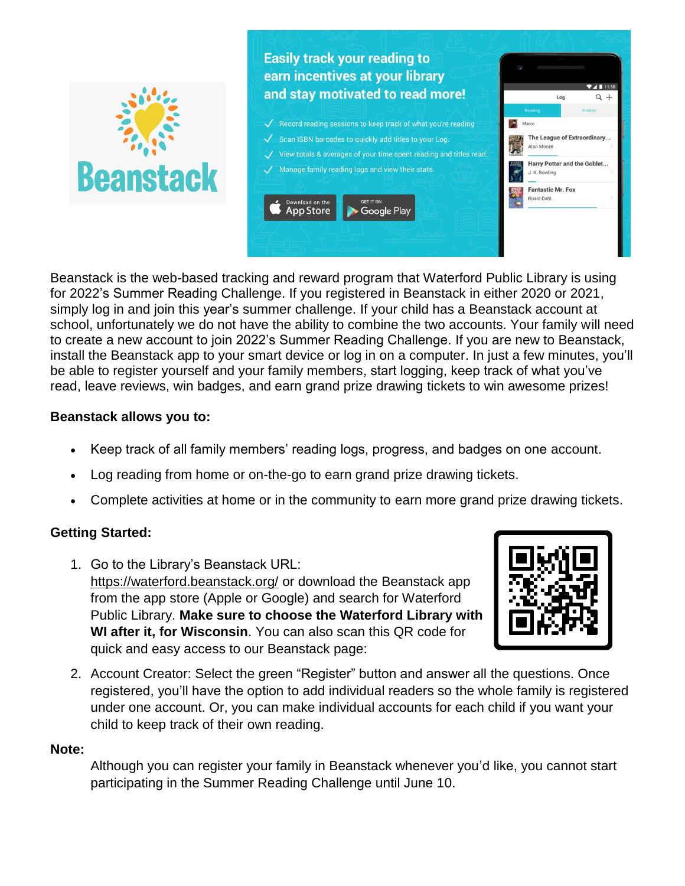

Beanstack is the web-based tracking and reward program that Waterford Public Library is using for 2022's Summer Reading Challenge. If you registered in Beanstack in either 2020 or 2021, simply log in and join this year's summer challenge. If your child has a Beanstack account at school, unfortunately we do not have the ability to combine the two accounts. Your family will need to create a new account to join 2022's Summer Reading Challenge. If you are new to Beanstack, install the Beanstack app to your smart device or log in on a computer. In just a few minutes, you'll be able to register yourself and your family members, start logging, keep track of what you've read, leave reviews, win badges, and earn grand prize drawing tickets to win awesome prizes!

## **Beanstack allows you to:**

- Keep track of all family members' reading logs, progress, and badges on one account.
- Log reading from home or on-the-go to earn grand prize drawing tickets.
- Complete activities at home or in the community to earn more grand prize drawing tickets.

# **Getting Started:**

1. Go to the Library's Beanstack URL: <https://waterford.beanstack.org/> or download the Beanstack app from the app store (Apple or Google) and search for Waterford Public Library. **Make sure to choose the Waterford Library with WI after it, for Wisconsin**. You can also scan this QR code for quick and easy access to our Beanstack page:



2. Account Creator: Select the green "Register" button and answer all the questions. Once registered, you'll have the option to add individual readers so the whole family is registered under one account. Or, you can make individual accounts for each child if you want your child to keep track of their own reading.

## **Note:**

Although you can register your family in Beanstack whenever you'd like, you cannot start participating in the Summer Reading Challenge until June 10.